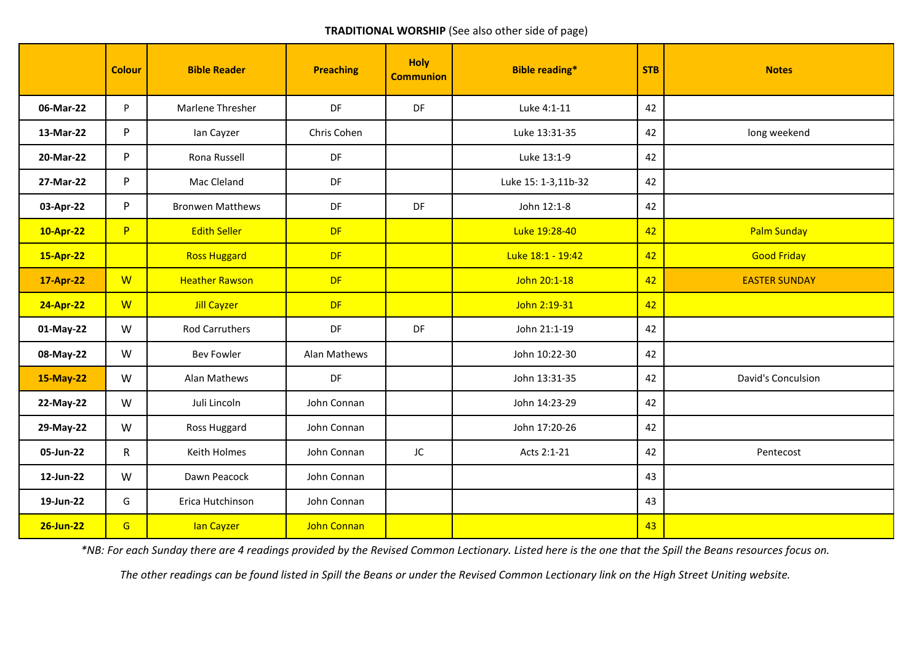## **TRADITIONAL WORSHIP** (See also other side of page)

|           | <b>Colour</b> | <b>Bible Reader</b>     | <b>Preaching</b> | <b>Holy</b><br><b>Communion</b> | <b>Bible reading*</b> | <b>STB</b> | <b>Notes</b>         |
|-----------|---------------|-------------------------|------------------|---------------------------------|-----------------------|------------|----------------------|
| 06-Mar-22 | P.            | Marlene Thresher        | DF               | DF                              | Luke 4:1-11           | 42         |                      |
| 13-Mar-22 | P             | lan Cayzer              | Chris Cohen      |                                 | Luke 13:31-35         | 42         | long weekend         |
| 20-Mar-22 | P             | Rona Russell            | DF               |                                 | Luke 13:1-9           | 42         |                      |
| 27-Mar-22 | P             | Mac Cleland             | DF               |                                 | Luke 15: 1-3,11b-32   | 42         |                      |
| 03-Apr-22 | P             | <b>Bronwen Matthews</b> | DF               | DF                              | John 12:1-8           | 42         |                      |
| 10-Apr-22 | P             | <b>Edith Seller</b>     | DF               |                                 | Luke 19:28-40         | 42         | <b>Palm Sunday</b>   |
| 15-Apr-22 |               | <b>Ross Huggard</b>     | <b>DF</b>        |                                 | Luke 18:1 - 19:42     | 42         | <b>Good Friday</b>   |
| 17-Apr-22 | W             | <b>Heather Rawson</b>   | <b>DF</b>        |                                 | John 20:1-18          | 42         | <b>EASTER SUNDAY</b> |
| 24-Apr-22 | W             | <b>Jill Cayzer</b>      | <b>DF</b>        |                                 | John 2:19-31          | 42         |                      |
| 01-May-22 | W             | <b>Rod Carruthers</b>   | <b>DF</b>        | DF                              | John 21:1-19          | 42         |                      |
| 08-May-22 | W             | <b>Bev Fowler</b>       | Alan Mathews     |                                 | John 10:22-30         | 42         |                      |
| 15-May-22 | W             | Alan Mathews            | DF               |                                 | John 13:31-35         | 42         | David's Conculsion   |
| 22-May-22 | W             | Juli Lincoln            | John Connan      |                                 | John 14:23-29         | 42         |                      |
| 29-May-22 | W             | Ross Huggard            | John Connan      |                                 | John 17:20-26         | 42         |                      |
| 05-Jun-22 | $\mathsf{R}$  | Keith Holmes            | John Connan      | JC                              | Acts 2:1-21           | 42         | Pentecost            |
| 12-Jun-22 | W             | Dawn Peacock            | John Connan      |                                 |                       | 43         |                      |
| 19-Jun-22 | G             | Erica Hutchinson        | John Connan      |                                 |                       | 43         |                      |
| 26-Jun-22 | G             | lan Cayzer              | John Connan      |                                 |                       | 43         |                      |

*\*NB: For each Sunday there are 4 readings provided by the Revised Common Lectionary. Listed here is the one that the Spill the Beans resources focus on.*

*The other readings can be found listed in Spill the Beans or under the Revised Common Lectionary link on the High Street Uniting website.*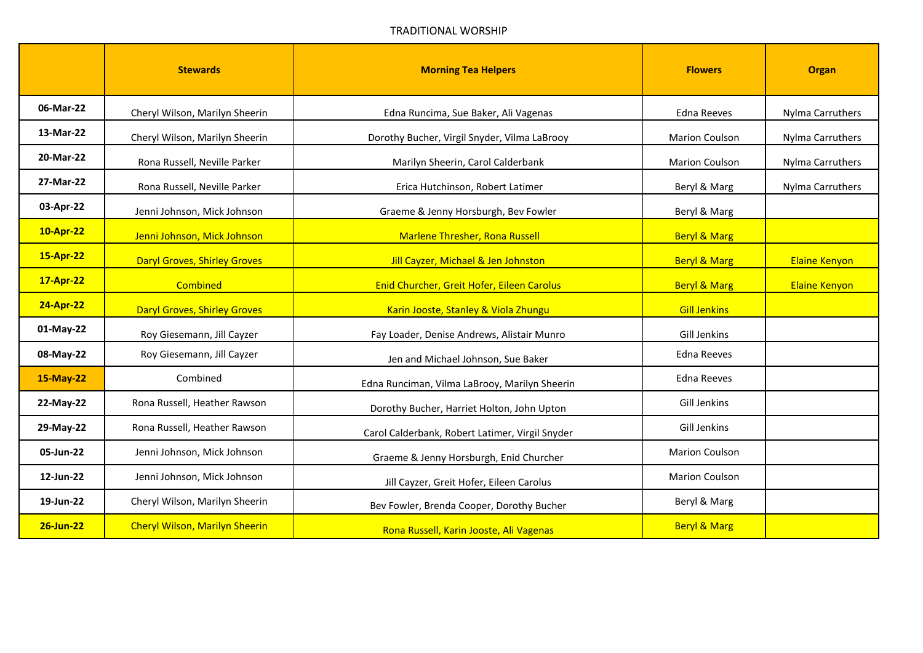|           | <b>Stewards</b>                       | <b>Morning Tea Helpers</b>                      | <b>Flowers</b>          | <b>Organ</b>         |
|-----------|---------------------------------------|-------------------------------------------------|-------------------------|----------------------|
| 06-Mar-22 | Cheryl Wilson, Marilyn Sheerin        | Edna Runcima, Sue Baker, Ali Vagenas            | Edna Reeves             | Nylma Carruthers     |
| 13-Mar-22 | Cheryl Wilson, Marilyn Sheerin        | Dorothy Bucher, Virgil Snyder, Vilma LaBrooy    | <b>Marion Coulson</b>   | Nylma Carruthers     |
| 20-Mar-22 | Rona Russell, Neville Parker          | Marilyn Sheerin, Carol Calderbank               | <b>Marion Coulson</b>   | Nylma Carruthers     |
| 27-Mar-22 | Rona Russell, Neville Parker          | Erica Hutchinson, Robert Latimer                | Beryl & Marg            | Nylma Carruthers     |
| 03-Apr-22 | Jenni Johnson, Mick Johnson           | Graeme & Jenny Horsburgh, Bev Fowler            | Beryl & Marg            |                      |
| 10-Apr-22 | Jenni Johnson, Mick Johnson           | <b>Marlene Thresher, Rona Russell</b>           | <b>Beryl &amp; Marg</b> |                      |
| 15-Apr-22 | <b>Daryl Groves, Shirley Groves</b>   | Jill Cayzer, Michael & Jen Johnston             | <b>Beryl &amp; Marg</b> | <b>Elaine Kenyon</b> |
| 17-Apr-22 | Combined                              | Enid Churcher, Greit Hofer, Eileen Carolus      | <b>Beryl &amp; Marg</b> | <b>Elaine Kenyon</b> |
| 24-Apr-22 | <b>Daryl Groves, Shirley Groves</b>   | Karin Jooste, Stanley & Viola Zhungu            | <b>Gill Jenkins</b>     |                      |
| 01-May-22 | Roy Giesemann, Jill Cayzer            | Fay Loader, Denise Andrews, Alistair Munro      | Gill Jenkins            |                      |
| 08-May-22 | Roy Giesemann, Jill Cayzer            | Jen and Michael Johnson, Sue Baker              | <b>Edna Reeves</b>      |                      |
| 15-May-22 | Combined                              | Edna Runciman, Vilma LaBrooy, Marilyn Sheerin   | <b>Edna Reeves</b>      |                      |
| 22-May-22 | Rona Russell, Heather Rawson          | Dorothy Bucher, Harriet Holton, John Upton      | Gill Jenkins            |                      |
| 29-May-22 | Rona Russell, Heather Rawson          | Carol Calderbank, Robert Latimer, Virgil Snyder | Gill Jenkins            |                      |
| 05-Jun-22 | Jenni Johnson, Mick Johnson           | Graeme & Jenny Horsburgh, Enid Churcher         | <b>Marion Coulson</b>   |                      |
| 12-Jun-22 | Jenni Johnson, Mick Johnson           | Jill Cayzer, Greit Hofer, Eileen Carolus        | <b>Marion Coulson</b>   |                      |
| 19-Jun-22 | Cheryl Wilson, Marilyn Sheerin        | Bev Fowler, Brenda Cooper, Dorothy Bucher       | Beryl & Marg            |                      |
| 26-Jun-22 | <b>Cheryl Wilson, Marilyn Sheerin</b> | Rona Russell, Karin Jooste, Ali Vagenas         | <b>Beryl &amp; Marg</b> |                      |